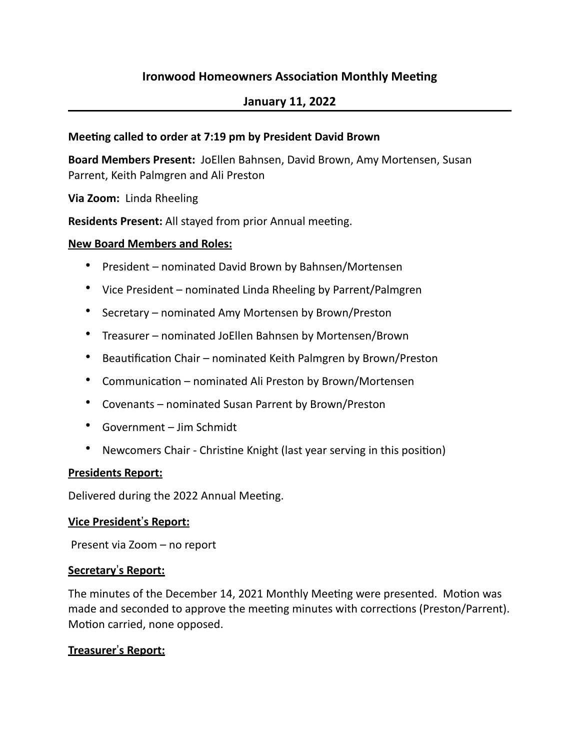# **Ironwood Homeowners Association Monthly Meeting**

## **January 11, 2022**

### **Meeting called to order at 7:19 pm by President David Brown**

**Board Members Present: JoEllen Bahnsen, David Brown, Amy Mortensen, Susan** Parrent, Keith Palmgren and Ali Preston

**Via Zoom:** Linda Rheeling

**Residents Present:** All stayed from prior Annual meeting.

#### **New Board Members and Roles:**

- President nominated David Brown by Bahnsen/Mortensen
- Vice President nominated Linda Rheeling by Parrent/Palmgren
- Secretary nominated Amy Mortensen by Brown/Preston
- Treasurer nominated JoEllen Bahnsen by Mortensen/Brown
- Beautification Chair nominated Keith Palmgren by Brown/Preston
- Communication nominated Ali Preston by Brown/Mortensen
- Covenants nominated Susan Parrent by Brown/Preston
- Government Jim Schmidt
- Newcomers Chair Christine Knight (last year serving in this position)

#### **Presidents Report:**

Delivered during the 2022 Annual Meeting.

#### **Vice President's Report:**

Present via Zoom – no report

#### **Secretary**!**s Report:**

The minutes of the December 14, 2021 Monthly Meeting were presented. Motion was made and seconded to approve the meeting minutes with corrections (Preston/Parrent). Motion carried, none opposed.

## **Treasurer's Report:**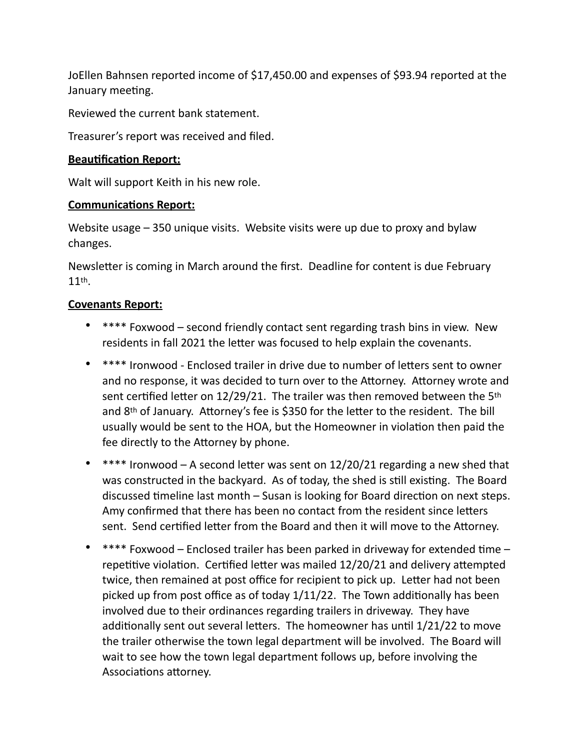JoEllen Bahnsen reported income of \$17,450.00 and expenses of \$93.94 reported at the January meeting.

Reviewed the current bank statement.

Treasurer's report was received and filed.

## **Beautification Report:**

Walt will support Keith in his new role.

## **Communications Report:**

Website usage  $-350$  unique visits. Website visits were up due to proxy and bylaw changes.

Newsletter is coming in March around the first. Deadline for content is due February 11th.

## **Covenants Report:**

- \*\*\*\* Foxwood second friendly contact sent regarding trash bins in view. New residents in fall 2021 the letter was focused to help explain the covenants.
- \*\*\*\* Ironwood Enclosed trailer in drive due to number of letters sent to owner and no response, it was decided to turn over to the Attorney. Attorney wrote and sent certified letter on 12/29/21. The trailer was then removed between the 5<sup>th</sup> and  $8<sup>th</sup>$  of January. Attorney's fee is \$350 for the letter to the resident. The bill usually would be sent to the HOA, but the Homeowner in violation then paid the fee directly to the Attorney by phone.
- \*\*\*\* Ironwood A second letter was sent on  $12/20/21$  regarding a new shed that was constructed in the backyard. As of today, the shed is still existing. The Board discussed timeline last month – Susan is looking for Board direction on next steps. Amy confirmed that there has been no contact from the resident since letters sent. Send certified letter from the Board and then it will move to the Attorney.
- \*\*\*\* Foxwood Enclosed trailer has been parked in driveway for extended time repetitive violation. Certified letter was mailed  $12/20/21$  and delivery attempted twice, then remained at post office for recipient to pick up. Letter had not been picked up from post office as of today  $1/11/22$ . The Town additionally has been involved due to their ordinances regarding trailers in driveway. They have additionally sent out several letters. The homeowner has until 1/21/22 to move the trailer otherwise the town legal department will be involved. The Board will wait to see how the town legal department follows up, before involving the Associations attorney.